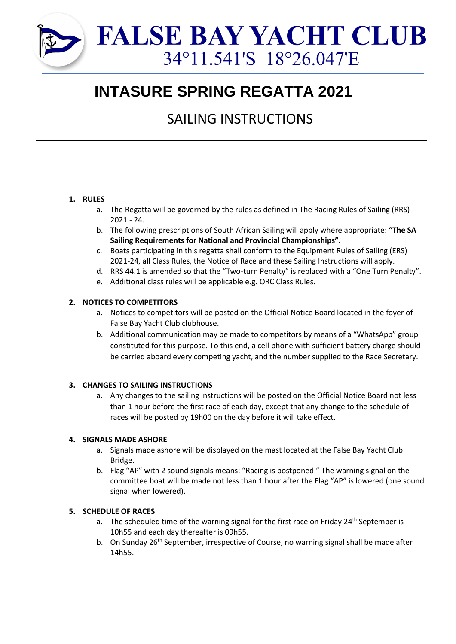

# **INTASURE SPRING REGATTA 2021**

# SAILING INSTRUCTIONS

# **1. RULES**

- a. The Regatta will be governed by the rules as defined in The Racing Rules of Sailing (RRS) 2021 - 24.
- b. The following prescriptions of South African Sailing will apply where appropriate: **"The SA Sailing Requirements for National and Provincial Championships".**
- c. Boats participating in this regatta shall conform to the Equipment Rules of Sailing (ERS) 2021-24, all Class Rules, the Notice of Race and these Sailing Instructions will apply.
- d. RRS 44.1 is amended so that the "Two-turn Penalty" is replaced with a "One Turn Penalty".
- e. Additional class rules will be applicable e.g. ORC Class Rules.

# **2. NOTICES TO COMPETITORS**

- a. Notices to competitors will be posted on the Official Notice Board located in the foyer of False Bay Yacht Club clubhouse.
- b. Additional communication may be made to competitors by means of a "WhatsApp" group constituted for this purpose. To this end, a cell phone with sufficient battery charge should be carried aboard every competing yacht, and the number supplied to the Race Secretary.

# **3. CHANGES TO SAILING INSTRUCTIONS**

a. Any changes to the sailing instructions will be posted on the Official Notice Board not less than 1 hour before the first race of each day, except that any change to the schedule of races will be posted by 19h00 on the day before it will take effect.

#### **4. SIGNALS MADE ASHORE**

- a. Signals made ashore will be displayed on the mast located at the False Bay Yacht Club Bridge.
- b. Flag "AP" with 2 sound signals means; "Racing is postponed." The warning signal on the committee boat will be made not less than 1 hour after the Flag "AP" is lowered (one sound signal when lowered).

# **5. SCHEDULE OF RACES**

- a. The scheduled time of the warning signal for the first race on Friday 24<sup>th</sup> September is 10h55 and each day thereafter is 09h55.
- b. On Sunday 26<sup>th</sup> September, irrespective of Course, no warning signal shall be made after 14h55.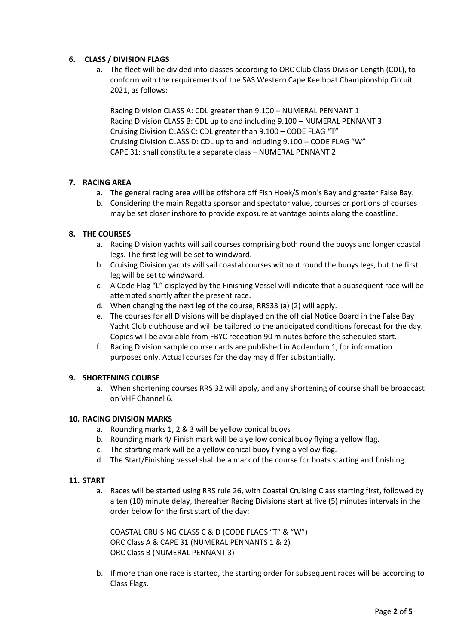# **6. CLASS / DIVISION FLAGS**

a. The fleet will be divided into classes according to ORC Club Class Division Length (CDL), to conform with the requirements of the SAS Western Cape Keelboat Championship Circuit 2021, as follows:

Racing Division CLASS A: CDL greater than 9.100 – NUMERAL PENNANT 1 Racing Division CLASS B: CDL up to and including 9.100 – NUMERAL PENNANT 3 Cruising Division CLASS C: CDL greater than 9.100 – CODE FLAG "T" Cruising Division CLASS D: CDL up to and including 9.100 – CODE FLAG "W" CAPE 31: shall constitute a separate class – NUMERAL PENNANT 2

#### **7. RACING AREA**

- a. The general racing area will be offshore off Fish Hoek/Simon's Bay and greater False Bay.
- b. Considering the main Regatta sponsor and spectator value, courses or portions of courses may be set closer inshore to provide exposure at vantage points along the coastline.

#### **8. THE COURSES**

- a. Racing Division yachts will sail courses comprising both round the buoys and longer coastal legs. The first leg will be set to windward.
- b. Cruising Division yachts will sail coastal courses without round the buoys legs, but the first leg will be set to windward.
- c. A Code Flag "L" displayed by the Finishing Vessel will indicate that a subsequent race will be attempted shortly after the present race.
- d. When changing the next leg of the course, RRS33 (a) (2) will apply.
- e. The courses for all Divisions will be displayed on the official Notice Board in the False Bay Yacht Club clubhouse and will be tailored to the anticipated conditions forecast for the day. Copies will be available from FBYC reception 90 minutes before the scheduled start.
- f. Racing Division sample course cards are published in Addendum 1, for information purposes only. Actual courses for the day may differ substantially.

#### **9. SHORTENING COURSE**

a. When shortening courses RRS 32 will apply, and any shortening of course shall be broadcast on VHF Channel 6.

#### **10. RACING DIVISION MARKS**

- a. Rounding marks 1, 2 & 3 will be yellow conical buoys
- b. Rounding mark 4/ Finish mark will be a yellow conical buoy flying a yellow flag.
- c. The starting mark will be a yellow conical buoy flying a yellow flag.
- d. The Start/Finishing vessel shall be a mark of the course for boats starting and finishing.

#### **11. START**

a. Races will be started using RRS rule 26, with Coastal Cruising Class starting first, followed by a ten (10) minute delay, thereafter Racing Divisions start at five (5) minutes intervals in the order below for the first start of the day:

COASTAL CRUISING CLASS C & D (CODE FLAGS "T" & "W") ORC Class A & CAPE 31 (NUMERAL PENNANTS 1 & 2) ORC Class B (NUMERAL PENNANT 3)

b. If more than one race is started, the starting order for subsequent races will be according to Class Flags.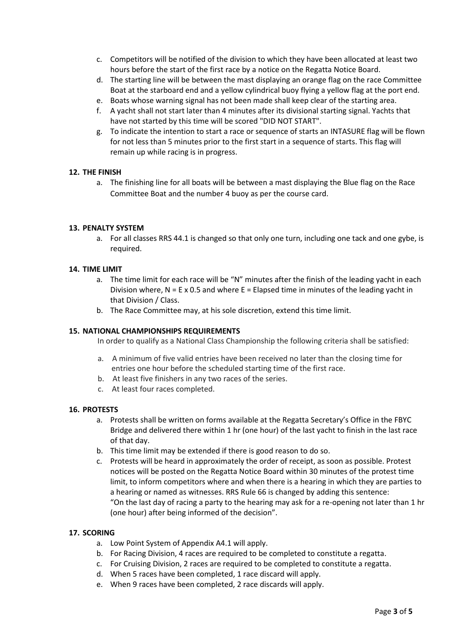- c. Competitors will be notified of the division to which they have been allocated at least two hours before the start of the first race by a notice on the Regatta Notice Board.
- d. The starting line will be between the mast displaying an orange flag on the race Committee Boat at the starboard end and a yellow cylindrical buoy flying a yellow flag at the port end.
- e. Boats whose warning signal has not been made shall keep clear of the starting area.
- f. A yacht shall not start later than 4 minutes after its divisional starting signal. Yachts that have not started by this time will be scored "DID NOT START".
- g. To indicate the intention to start a race or sequence of starts an INTASURE flag will be flown for not less than 5 minutes prior to the first start in a sequence of starts. This flag will remain up while racing is in progress.

#### **12. THE FINISH**

a. The finishing line for all boats will be between a mast displaying the Blue flag on the Race Committee Boat and the number 4 buoy as per the course card.

#### **13. PENALTY SYSTEM**

a. For all classes RRS 44.1 is changed so that only one turn, including one tack and one gybe, is required.

#### **14. TIME LIMIT**

- a. The time limit for each race will be "N" minutes after the finish of the leading yacht in each Division where,  $N = E \times 0.5$  and where  $E = E$  lapsed time in minutes of the leading yacht in that Division / Class.
- b. The Race Committee may, at his sole discretion, extend this time limit.

#### **15. NATIONAL CHAMPIONSHIPS REQUIREMENTS**

In order to qualify as a National Class Championship the following criteria shall be satisfied:

- a. A minimum of five valid entries have been received no later than the closing time for entries one hour before the scheduled starting time of the first race.
- b. At least five finishers in any two races of the series.
- c. At least four races completed.

#### **16. PROTESTS**

- a. Protests shall be written on forms available at the Regatta Secretary's Office in the FBYC Bridge and delivered there within 1 hr (one hour) of the last yacht to finish in the last race of that day.
- b. This time limit may be extended if there is good reason to do so.
- c. Protests will be heard in approximately the order of receipt, as soon as possible. Protest notices will be posted on the Regatta Notice Board within 30 minutes of the protest time limit, to inform competitors where and when there is a hearing in which they are parties to a hearing or named as witnesses. RRS Rule 66 is changed by adding this sentence: "On the last day of racing a party to the hearing may ask for a re-opening not later than 1 hr (one hour) after being informed of the decision".

#### **17. SCORING**

- a. Low Point System of Appendix A4.1 will apply.
- b. For Racing Division, 4 races are required to be completed to constitute a regatta.
- c. For Cruising Division, 2 races are required to be completed to constitute a regatta.
- d. When 5 races have been completed, 1 race discard will apply.
- e. When 9 races have been completed, 2 race discards will apply.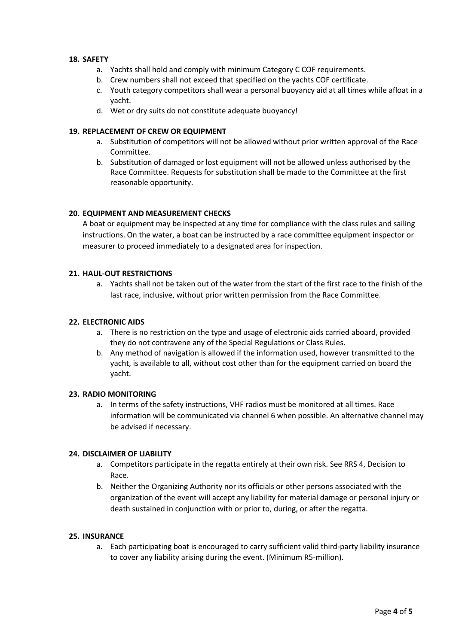#### **18. SAFETY**

- a. Yachts shall hold and comply with minimum Category C COF requirements.
- b. Crew numbers shall not exceed that specified on the yachts COF certificate.
- c. Youth category competitors shall wear a personal buoyancy aid at all times while afloat in a yacht.
- d. Wet or dry suits do not constitute adequate buoyancy!

#### **19. REPLACEMENT OF CREW OR EQUIPMENT**

- a. Substitution of competitors will not be allowed without prior written approval of the Race Committee.
- b. Substitution of damaged or lost equipment will not be allowed unless authorised by the Race Committee. Requests for substitution shall be made to the Committee at the first reasonable opportunity.

#### **20. EQUIPMENT AND MEASUREMENT CHECKS**

A boat or equipment may be inspected at any time for compliance with the class rules and sailing instructions. On the water, a boat can be instructed by a race committee equipment inspector or measurer to proceed immediately to a designated area for inspection.

#### **21. HAUL-OUT RESTRICTIONS**

a. Yachts shall not be taken out of the water from the start of the first race to the finish of the last race, inclusive, without prior written permission from the Race Committee.

#### **22. ELECTRONIC AIDS**

- a. There is no restriction on the type and usage of electronic aids carried aboard, provided they do not contravene any of the Special Regulations or Class Rules.
- b. Any method of navigation is allowed if the information used, however transmitted to the yacht, is available to all, without cost other than for the equipment carried on board the yacht.

#### **23. RADIO MONITORING**

a. In terms of the safety instructions, VHF radios must be monitored at all times. Race information will be communicated via channel 6 when possible. An alternative channel may be advised if necessary.

#### **24. DISCLAIMER OF LIABILITY**

- a. Competitors participate in the regatta entirely at their own risk. See RRS 4, Decision to Race.
- b. Neither the Organizing Authority nor its officials or other persons associated with the organization of the event will accept any liability for material damage or personal injury or death sustained in conjunction with or prior to, during, or after the regatta.

#### **25. INSURANCE**

a. Each participating boat is encouraged to carry sufficient valid third-party liability insurance to cover any liability arising during the event. (Minimum R5-million).